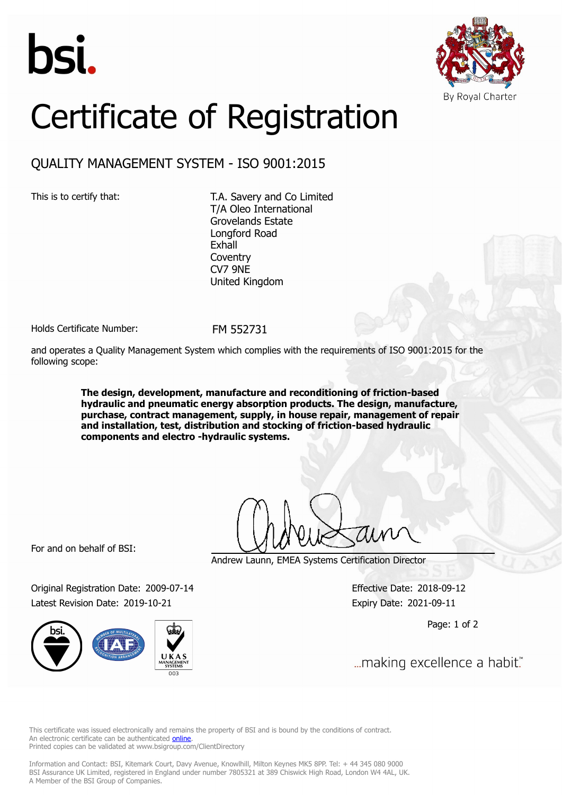



## Certificate of Registration

## QUALITY MANAGEMENT SYSTEM - ISO 9001:2015

This is to certify that: T.A. Savery and Co Limited T/A Oleo International Grovelands Estate Longford Road Exhall **Coventry** CV7 9NE United Kingdom

Holds Certificate Number: FM 552731

and operates a Quality Management System which complies with the requirements of ISO 9001:2015 for the following scope:

> **The design, development, manufacture and reconditioning of friction-based hydraulic and pneumatic energy absorption products. The design, manufacture, purchase, contract management, supply, in house repair, management of repair and installation, test, distribution and stocking of friction-based hydraulic components and electro -hydraulic systems.**

For and on behalf of BSI:

Original Registration Date: 2009-07-14 Effective Date: 2018-09-12 Latest Revision Date: 2019-10-21 Expiry Date: 2021-09-11

Andrew Launn, EMEA Systems Certification Director

Page: 1 of 2

... making excellence a habit."

This certificate was issued electronically and remains the property of BSI and is bound by the conditions of contract. An electronic certificate can be authenticated **[online](https://pgplus.bsigroup.com/CertificateValidation/CertificateValidator.aspx?CertificateNumber=FM+552731&ReIssueDate=21%2f10%2f2019&Template=uk)**. Printed copies can be validated at www.bsigroup.com/ClientDirectory

Information and Contact: BSI, Kitemark Court, Davy Avenue, Knowlhill, Milton Keynes MK5 8PP. Tel: + 44 345 080 9000 BSI Assurance UK Limited, registered in England under number 7805321 at 389 Chiswick High Road, London W4 4AL, UK. A Member of the BSI Group of Companies.